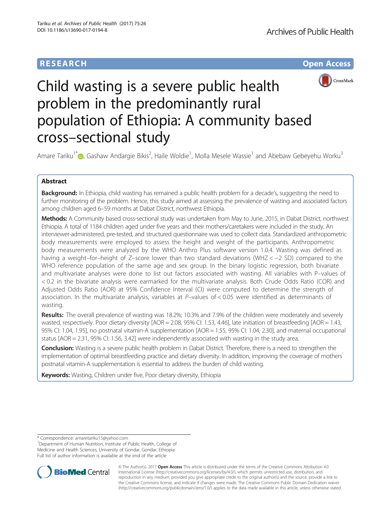## **RESEARCH CHE Open Access**



# Child wasting is a severe public health problem in the predominantly rural population of Ethiopia: A community based cross–sectional study

Amare Tariku<sup>1[\\*](http://orcid.org/0000-0002-4939-3701)</sup> , Gashaw Andargie Bikis<sup>2</sup>, Haile Woldie<sup>1</sup>, Molla Mesele Wassie<sup>1</sup> and Abebaw Gebeyehu Worku<sup>3</sup>

## Abstract

**Background:** In Ethiopia, child wasting has remained a public health problem for a decade's, suggesting the need to further monitoring of the problem. Hence, this study aimed at assessing the prevalence of wasting and associated factors among children aged 6–59 months at Dabat District, northwest Ethiopia.

Methods: A Community based cross-sectional study was undertaken from May to June, 2015, in Dabat District, northwest Ethiopia. A total of 1184 children aged under five years and their mothers/caretakers were included in the study. An interviewer-administered, pre-tested, and structured questionnaire was used to collect data. Standardized anthropometric body measurements were employed to assess the height and weight of the participants. Anthropometric body measurements were analyzed by the WHO Anthro Plus software version 1.0.4. Wasting was defined as having a weight–for–height of Z–score lower than two standard deviations (WHZ < −2 SD) compared to the WHO reference population of the same age and sex group. In the binary logistic regression, both bivariate and multivariate analyses were done to list out factors associated with wasting. All variables with P–values of < 0.2 in the bivariate analysis were earmarked for the multivariate analysis. Both Crude Odds Ratio (COR) and Adjusted Odds Ratio (AOR) at 95% Confidence Interval (CI) were computed to determine the strength of association. In the multivariate analysis, variables at P–values of < 0.05 were identified as determinants of wasting.

Results: The overall prevalence of wasting was 18.2%; 10.3% and 7.9% of the children were moderately and severely wasted, respectively. Poor dietary diversity [AOR = 2.08, 95% CI: 1.53, 4.46], late initiation of breastfeeding [AOR = 1.43, 95% CI: 1.04, 1.95], no postnatal vitamin-A supplementation [AOR = 1.55, 95% CI: 1.04, 2.30], and maternal occupational status [AOR = 2.31, 95% CI: 1.56, 3.42] were independently associated with wasting in the study area.

**Conclusion:** Wasting is a severe public health problem in Dabat District. Therefore, there is a need to strengthen the implementation of optimal breastfeeding practice and dietary diversity. In addition, improving the coverage of mothers' postnatal vitamin-A supplementation is essential to address the burden of child wasting.

Keywords: Wasting, Children under five, Poor dietary diversity, Ethiopia

<sup>&</sup>lt;sup>1</sup>Department of Human Nutrition, Institute of Public Health, College of Medicine and Health Sciences, University of Gondar, Gondar, Ethiopia Full list of author information is available at the end of the article



© The Author(s). 2017 **Open Access** This article is distributed under the terms of the Creative Commons Attribution 4.0 International License [\(http://creativecommons.org/licenses/by/4.0/](http://creativecommons.org/licenses/by/4.0/)), which permits unrestricted use, distribution, and reproduction in any medium, provided you give appropriate credit to the original author(s) and the source, provide a link to the Creative Commons license, and indicate if changes were made. The Creative Commons Public Domain Dedication waiver [\(http://creativecommons.org/publicdomain/zero/1.0/](http://creativecommons.org/publicdomain/zero/1.0/)) applies to the data made available in this article, unless otherwise stated.

<sup>\*</sup> Correspondence: [amaretariku15@yahoo.com](mailto:amaretariku15@yahoo.com) <sup>1</sup>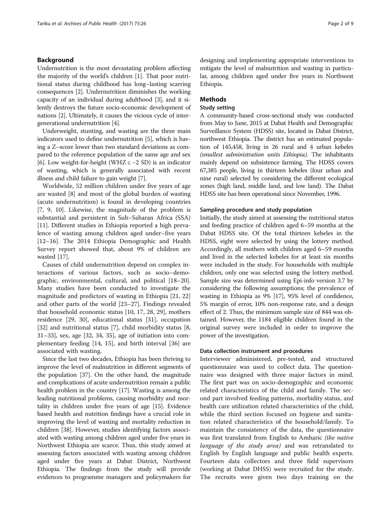## Background

Undernutrition is the most devastating problem affecting the majority of the world's children [[1](#page-7-0)]. That poor nutritional status during childhood has long–lasting scarring consequences [\[2](#page-7-0)]. Undernutrition diminishes the working capacity of an individual during adulthood [[3\]](#page-7-0), and it silently destroys the future socio-economic development of nations [\[2\]](#page-7-0). Ultimately, it causes the vicious cycle of intergenerational undernutrition [\[4](#page-7-0)].

Underweight, stunting, and wasting are the three main indicators used to define undernutrition [\[5\]](#page-7-0), which is having a Z–score lower than two standard deviations as compared to the reference population of the same age and sex [[6\]](#page-7-0). Low weight-for-height (WHZ ≤ −2 SD) is an indicator of wasting, which is generally associated with recent illness and child failure to gain weight [[7](#page-7-0)].

Worldwide, 52 million children under five years of age are wasted [[8\]](#page-7-0) and most of the global burden of wasting (acute undernutrition) is found in developing countries [[7, 9, 10](#page-7-0)]. Likewise, the magnitude of the problem is substantial and persistent in Sub–Saharan Africa (SSA) [[11\]](#page-7-0). Different studies in Ethiopia reported a high prevalence of wasting among children aged under–five years [[12](#page-7-0)–[16](#page-7-0)]. The 2014 Ethiopia Demographic and Health Survey report showed that, about 9% of children are wasted [[17\]](#page-7-0).

Causes of child undernutrition depend on complex interactions of various factors, such as socio–demographic, environmental, cultural, and political [[18](#page-7-0)–[20](#page-7-0)]. Many studies have been conducted to investigate the magnitude and predictors of wasting in Ethiopia [\[21](#page-7-0), [22](#page-7-0)] and other parts of the world [[23](#page-7-0)–[27](#page-7-0)]. Findings revealed that household economic status [[10](#page-7-0), [17](#page-7-0), [28, 29\]](#page-7-0), mothers residence [\[29](#page-7-0), [30](#page-7-0)], educational status [\[31\]](#page-7-0), occupation [[32\]](#page-7-0) and nutritional status [\[7](#page-7-0)], child morbidity status [[8](#page-7-0), [31](#page-7-0)–[33](#page-7-0)], sex, age [\[32](#page-7-0), [34, 35](#page-7-0)], age of initiation into complementary feeding [[14](#page-7-0), [15\]](#page-7-0), and birth interval [[36\]](#page-7-0) are associated with wasting.

Since the last two decades, Ethiopia has been thriving to improve the level of malnutrition in different segments of the population [[37](#page-7-0)]. On the other hand, the magnitude and complications of acute undernutrition remain a public health problem in the country [\[17\]](#page-7-0). Wasting is among the leading nutritional problems, causing morbidity and mortality in children under five years of age [[15](#page-7-0)]. Evidence based health and nutrition findings have a crucial role in improving the level of wasting and mortality reduction in children [\[38\]](#page-7-0). However, studies identifying factors associated with wasting among children aged under five years in Northwest Ethiopia are scarce. Thus, this study aimed at assessing factors associated with wasting among children aged under five years at Dabat District, Northwest Ethiopia. The findings from the study will provide evidences to programme managers and policymakers for designing and implementing appropriate interventions to mitigate the level of malnutrition and wasting in particular, among children aged under five years in Northwest Ethiopia.

## Methods

## Study setting

A community-based cross-sectional study was conducted from May to June, 2015 at Dabat Health and Demographic Surveillance System (HDSS) site, located in Dabat District, northwest Ethiopia. The district has an estimated population of 145,458, living in 26 rural and 4 urban kebeles (smallest administration units Ethiopia). The inhabitants mainly depend on subsistence farming. The HDSS covers 67,385 people, living in thirteen kebeles (four urban and nine rural) selected by considering the different ecological zones (high land, middle land, and low land). The Dabat HDSS site has been operational since November, 1996.

## Sampling procedure and study population

Initially, the study aimed at assessing the nutritional status and feeding practice of children aged 6–59 months at the Dabat HDSS site. Of the total thirteen kebeles in the HDSS, eight were selected by using the lottery method. Accordingly, all mothers with children aged 6–59 months and lived in the selected kebeles for at least six months were included in the study. For households with multiple children, only one was selected using the lottery method. Sample size was determined using Epi-info version 3.7 by considering the following assumptions; the prevalence of wasting in Ethiopia as 9% [[17](#page-7-0)], 95% level of confidence, 5% margin of error, 10% non-response rate, and a design effect of 2. Thus, the minimum sample size of 844 was obtained. However, the 1184 eligible children found in the original survey were included in order to improve the power of the investigation.

## Data collection instrument and procedures

Interviewer administered, pre-tested, and structured questionnaire was used to collect data. The questionnaire was designed with three major factors in mind. The first part was on socio-demographic and economic related characteristics of the child and family. The second part involved feeding patterns, morbidity status, and health care utilization related characteristics of the child, while the third section focused on hygiene and sanitation related characteristics of the household/family. To maintain the consistency of the data, the questionnaire was first translated from English to Amharic *(the native* language of the study area) and was retranslated to English by English language and public health experts. Fourteen data collectors and three field supervisors (working at Dabat DHSS) were recruited for the study. The recruits were given two days training on the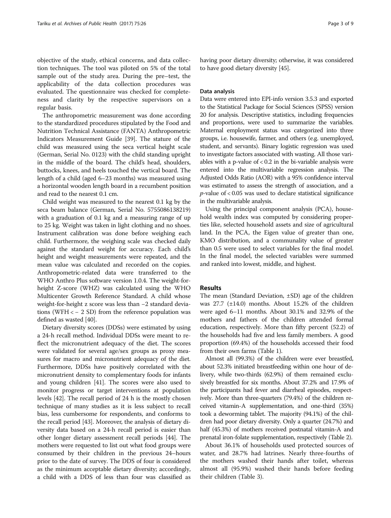objective of the study, ethical concerns, and data collection techniques. The tool was piloted on 5% of the total sample out of the study area. During the pre–test, the applicability of the data collection procedures was evaluated. The questionnaire was checked for completeness and clarity by the respective supervisors on a regular basis.

The anthropometric measurement was done according to the standardized procedures stipulated by the Food and Nutrition Technical Assistance (FANTA) Anthropometric Indicators Measurement Guide [\[39](#page-7-0)]. The stature of the child was measured using the seca vertical height scale (German, Serial No. 0123) with the child standing upright in the middle of the board. The child's head, shoulders, buttocks, knees, and heels touched the vertical board. The length of a child (aged 6–23 months) was measured using a horizontal wooden length board in a recumbent position and read to the nearest 0.1 cm.

Child weight was measured to the nearest 0.1 kg by the seca beam balance (German, Serial No. 5755086138219) with a graduation of 0.1 kg and a measuring range of up to 25 kg. Weight was taken in light clothing and no shoes. Instrument calibration was done before weighing each child. Furthermore, the weighing scale was checked daily against the standard weight for accuracy. Each child's height and weight measurements were repeated, and the mean value was calculated and recorded on the copies. Anthropometric-related data were transferred to the WHO Anthro Plus software version 1.0.4. The weight-forheight Z-score (WHZ) was calculated using the WHO Multicenter Growth Reference Standard. A child whose weight-for-height z score was less than −2 standard deviations (WFH  $<-2$  SD) from the reference population was defined as wasted [[40](#page-7-0)].

Dietary diversity scores (DDSs) were estimated by using a 24-h recall method. Individual DDSs were meant to reflect the micronutrient adequacy of the diet. The scores were validated for several age/sex groups as proxy measures for macro and micronutrient adequacy of the diet. Furthermore, DDSs have positively correlated with the micronutrient density to complementary foods for infants and young children [\[41\]](#page-8-0). The scores were also used to monitor progress or target interventions at population levels [[42](#page-8-0)]. The recall period of 24 h is the mostly chosen technique of many studies as it is less subject to recall bias, less cumbersome for respondents, and conforms to the recall period [\[43\]](#page-8-0). Moreover, the analysis of dietary diversity data based on a 24-h recall period is easier than other longer dietary assessment recall periods [\[44\]](#page-8-0). The mothers were requested to list out what food groups were consumed by their children in the previous 24–hours prior to the date of survey. The DDS of four is considered as the minimum acceptable dietary diversity; accordingly, a child with a DDS of less than four was classified as having poor dietary diversity; otherwise, it was considered to have good dietary diversity [[45](#page-8-0)].

### Data analysis

Data were entered into EPI-info version 3.5.3 and exported to the Statistical Package for Social Sciences (SPSS) version 20 for analysis. Descriptive statistics, including frequencies and proportions, were used to summarize the variables. Maternal employment status was categorized into three groups, i.e. housewife, farmer, and others (e.g. unemployed, student, and servants). Binary logistic regression was used to investigate factors associated with wasting. All those variables with a p-value of  $< 0.2$  in the bi-variable analysis were entered into the multivariable regression analysis. The Adjusted Odds Ratio (AOR) with a 95% confidence interval was estimated to assess the strength of association, and a  $p$ -value of < 0.05 was used to declare statistical significance in the multivariable analysis.

Using the principal component analysis (PCA), household wealth index was computed by considering properties like, selected household assets and size of agricultural land. In the PCA, the Eigen value of greater than one, KMO distribution, and a communality value of greater than 0.5 were used to select variables for the final model. In the final model, the selected variables were summed and ranked into lowest, middle, and highest.

#### Results

The mean (Standard Deviation,  $\pm SD$ ) age of the children was 27.7 (±14.0) months. About 15.2% of the children were aged 6–11 months. About 30.1% and 32.9% of the mothers and fathers of the children attended formal education, respectively. More than fifty percent (52.2) of the households had five and less family members. A good proportion (69.4%) of the households accessed their food from their own farms (Table [1](#page-3-0)).

Almost all (99.3%) of the children were ever breastfed, about 52.3% initiated breastfeeding within one hour of delivery, while two-thirds (62.9%) of them remained exclusively breastfed for six months. About 37.2% and 17.9% of the participants had fever and diarrheal episodes, respectively. More than three-quarters (79.4%) of the children received vitamin-A supplementation, and one-third (35%) took a deworming tablet. The majority (94.1%) of the children had poor dietary diversity. Only a quarter (24.7%) and half (45.3%) of mothers received postnatal vitamin-A and prenatal iron-folate supplementation, respectively (Table [2](#page-3-0)).

About 36.1% of households used protected sources of water, and 28.7% had latrines. Nearly three-fourths of the mothers washed their hands after toilet, whereas almost all (95.9%) washed their hands before feeding their children (Table [3](#page-4-0)).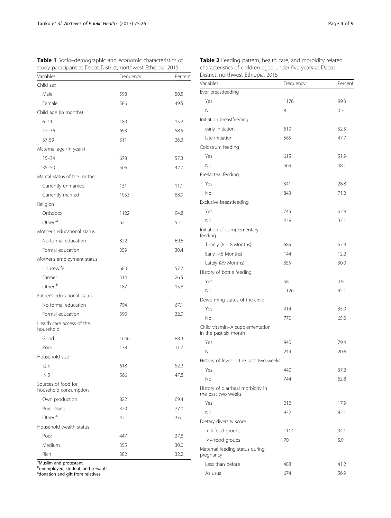| study participant at Dabat District, northwest Ethiopia, 2015<br>Variables | Frequency | Percent |
|----------------------------------------------------------------------------|-----------|---------|
| Child sex                                                                  |           |         |
| Male                                                                       | 598       | 50.5    |
| Female                                                                     | 586       | 49.5    |
| Child age (in months)                                                      |           |         |
| $6 - 11$                                                                   | 180       | 15.2    |
| $12 - 36$                                                                  | 693       | 58.5    |
| 37-59                                                                      | 311       | 26.3    |
| Maternal age (in years)                                                    |           |         |
| $15 - 34$                                                                  | 678       | 57.3    |
| $35 - 50$                                                                  | 506       | 42.7    |
| Marital status of the mother                                               |           |         |
| Currently unmarried                                                        | 131       | 11.1    |
| Currently married                                                          | 1053      | 88.9    |
| Religion                                                                   |           |         |
| Orthodox                                                                   | 1122      | 94.8    |
| Others <sup>a</sup>                                                        | 62        | 5.2     |
| Mother's educational status                                                |           |         |
| No formal education                                                        | 822       | 69.6    |
| Formal education                                                           | 359       | 30.4    |
| Mother's employment status                                                 |           |         |
| Housewife                                                                  | 683       | 57.7    |
| Farmer                                                                     | 314       | 26.5    |
| Othersb                                                                    | 187       | 15.8    |
| Father's educational status                                                |           |         |
| No formal education                                                        | 794       | 67.1    |
| Formal education                                                           | 390       | 32.9    |
| Health care access of the<br>household                                     |           |         |
| Good                                                                       | 1046      | 88.3    |
| Poor                                                                       | 138       | 11.7    |
| Household size                                                             |           |         |
| $\leq$ 5                                                                   | 618       | 52.2    |
| > 5                                                                        | 566       | 47.8    |
| Sources of food for<br>household consumption                               |           |         |
| Own production                                                             | 822       | 69.4    |
| Purchasing                                                                 | 320       | 27.0    |
| Others <sup>c</sup>                                                        | 42        | 3.6     |
| Household wealth status                                                    |           |         |
| Poor                                                                       | 447       | 37.8    |
| Medium                                                                     | 355       | 30.0    |
| Rich                                                                       | 382       | 32.2    |
|                                                                            |           |         |

<span id="page-3-0"></span>Table 1 Socio-demographic and economic characteristics of study participant at Dabat District, northwest Ethiopia, 2015

<sup>a</sup>Muslim and protestant

<sup>b</sup>unemployed, student, and servants<br><sup>c</sup>donation and gift from relatives

| <b>Table 2</b> Feeding pattern, health care, and morbidity related |
|--------------------------------------------------------------------|
| characteristics of children aged under five years at Dabat         |
| District, northwest Ethiopia, 2015                                 |

| Variables                                                | Frequency | Percent |
|----------------------------------------------------------|-----------|---------|
| Ever breastfeeding                                       |           |         |
| Yes                                                      | 1176      | 99.3    |
| No                                                       | 8         | 0.7     |
| Initiation breastfeeding                                 |           |         |
| early initiation                                         | 619       | 52.3    |
| late initiation                                          | 565       | 47.7    |
| Colostrum feeding                                        |           |         |
| Yes                                                      | 615       | 51.9    |
| No                                                       | 569       | 48.1    |
| Pre-lacteal feeding                                      |           |         |
| Yes                                                      | 341       | 28.8    |
| No                                                       | 843       | 71.2    |
| Exclusive breastfeeding                                  |           |         |
| Yes                                                      | 745       | 62.9    |
| No                                                       | 439       | 37.1    |
| Initiation of complementary<br>feeding                   |           |         |
| Timely $(6 - 8$ Months)                                  | 685       | 57.9    |
| Early (<6 Months)                                        | 144       | 12.2    |
| Lately (≥9 Months)                                       | 355       | 30.0    |
| History of bottle feeding                                |           |         |
| Yes                                                      | 58        | 4.9     |
| No                                                       | 1126      | 95.1    |
| Deworming status of the child                            |           |         |
| Yes                                                      | 414       | 35.0    |
| No                                                       | 770       | 65.0    |
| Child vitamin-A supplementation<br>in the past six month |           |         |
| Yes                                                      | 940       | 79.4    |
| No                                                       | 244       | 20.6    |
| History of fever in the past two weeks                   |           |         |
| Yes                                                      | 440       | 37.2    |
| No                                                       | 744       | 62.8    |
| History of diarrheal morbidity in<br>the past two weeks  |           |         |
| Yes                                                      | 212       | 17.9    |
| No                                                       | 972       | 82.1    |
| Dietary diversity score                                  |           |         |
| < 4 food groups                                          | 1114      | 94.1    |
| $\geq$ 4 food groups                                     | 70        | 5.9     |
| Maternal feeding status during<br>pregnancy              |           |         |
| Less than before                                         | 488       | 41.2    |
| As usual                                                 | 674       | 56.9    |
|                                                          |           |         |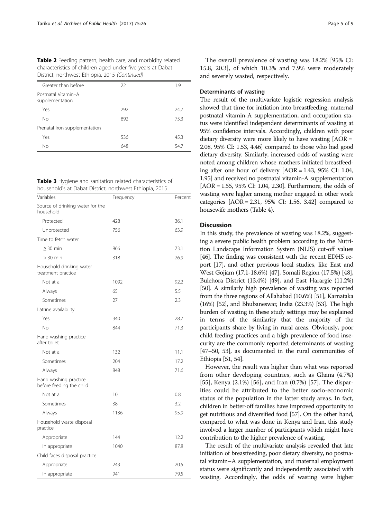<span id="page-4-0"></span>

| <b>Table 2</b> Feeding pattern, health care, and morbidity related |
|--------------------------------------------------------------------|
| characteristics of children aged under five years at Dabat         |
| District, northwest Ethiopia, 2015 (Continued)                     |

| Greater than before                    | 22  | 1.9  |  |  |  |
|----------------------------------------|-----|------|--|--|--|
| Postnatal Vitamin-A<br>supplementation |     |      |  |  |  |
| Yes                                    | 292 | 24.7 |  |  |  |
| No                                     | 892 | 75.3 |  |  |  |
| Prenatal Iron supplementation          |     |      |  |  |  |
| Yes                                    | 536 | 45.3 |  |  |  |
| No                                     | 648 | 54.7 |  |  |  |

Table 3 Hygiene and sanitation related characteristics of household's at Dabat District, northwest Ethiopia, 2015

| Variables                                         | Frequency | Percent |
|---------------------------------------------------|-----------|---------|
| Source of drinking water for the<br>household     |           |         |
| Protected                                         | 428       | 36.1    |
| Unprotected                                       | 756       | 63.9    |
| Time to fetch water                               |           |         |
| $\geq$ 30 min                                     | 866       | 73.1    |
| $> 30$ min                                        | 318       | 26.9    |
| Household drinking water<br>treatment practice    |           |         |
| Not at all                                        | 1092      | 92.2    |
| Always                                            | 65        | 5.5     |
| Sometimes                                         | 27        | 2.3     |
| Latrine availability                              |           |         |
| Yes                                               | 340       | 28.7    |
| No                                                | 844       | 71.3    |
| Hand washing practice<br>after toilet             |           |         |
| Not at all                                        | 132       | 11.1    |
| Sometimes                                         | 204       | 17.2    |
| Always                                            | 848       | 71.6    |
| Hand washing practice<br>before feeding the child |           |         |
| Not at all                                        | 10        | 0.8     |
| Sometimes                                         | 38        | 3.2     |
| Always                                            | 1136      | 95.9    |
| Household waste disposal<br>practice              |           |         |
| Appropriate                                       | 144       | 12.2    |
| In appropriate                                    | 1040      | 87.8    |
| Child faces disposal practice                     |           |         |
| Appropriate                                       | 243       | 20.5    |
| In appropriate                                    | 941       | 79.5    |

The overall prevalence of wasting was 18.2% [95% CI: 15.8, 20.3], of which 10.3% and 7.9% were moderately and severely wasted, respectively.

## Determinants of wasting

The result of the multivariate logistic regression analysis showed that time for initiation into breastfeeding, maternal postnatal vitamin-A supplementation, and occupation status were identified independent determinants of wasting at 95% confidence intervals. Accordingly, children with poor dietary diversity were more likely to have wasting  $[AOR =$ 2.08, 95% CI: 1.53, 4.46] compared to those who had good dietary diversity. Similarly, increased odds of wasting were noted among children whose mothers initiated breastfeeding after one hour of delivery [AOR = 1.43, 95% CI: 1.04, 1.95] and received no postnatal vitamin-A supplementation [AOR = 1.55, 95% CI: 1.04, 2.30]. Furthermore, the odds of wasting were higher among mother engaged in other work categories  $[AOR = 2.31, 95\% \text{ CI: } 1.56, 3.42]$  compared to housewife mothers (Table [4\)](#page-5-0).

## Discussion

In this study, the prevalence of wasting was 18.2%, suggesting a severe public health problem according to the Nutrition Landscape Information System (NLIS) cut-off values [[46](#page-8-0)]. The finding was consistent with the recent EDHS report [[17\]](#page-7-0), and other previous local studies, like East and West Gojjam (17.1-18.6%) [\[47\]](#page-8-0), Somali Region (17.5%) [\[48](#page-8-0)], Bulehora District (13.4%) [\[49\]](#page-8-0), and East Harargie (11.2%) [[50](#page-8-0)]. A similarly high prevalence of wasting was reported from the three regions of Allahabad (10.6%) [[51](#page-8-0)], Karnataka (16%) [\[52\]](#page-8-0), and Bhubaneswar, India (23.3%) [\[53\]](#page-8-0). The high burden of wasting in these study settings may be explained in terms of the similarity that the majority of the participants share by living in rural areas. Obviously, poor child feeding practices and a high prevalence of food insecurity are the commonly reported determinants of wasting [[47](#page-8-0)–[50](#page-8-0), [53](#page-8-0)], as documented in the rural communities of Ethiopia [[51](#page-8-0), [54](#page-8-0)].

However, the result was higher than what was reported from other developing countries, such as Ghana (4.7%) [[55\]](#page-8-0), Kenya (2.1%) [[56](#page-8-0)], and Iran (0.7%) [[57\]](#page-8-0). The disparities could be attributed to the better socio-economic status of the population in the latter study areas. In fact, children in better-off families have improved opportunity to get nutritious and diversified food [\[57\]](#page-8-0). On the other hand, compared to what was done in Kenya and Iran, this study involved a larger number of participants which might have contribution to the higher prevalence of wasting.

The result of the multivariate analysis revealed that late initiation of breastfeeding, poor dietary diversity, no postnatal vitamin–A supplementation, and maternal employment status were significantly and independently associated with wasting. Accordingly, the odds of wasting were higher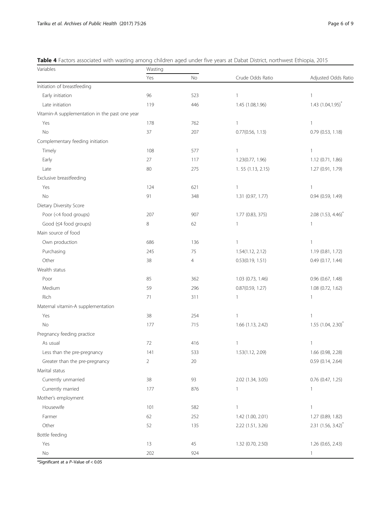<span id="page-5-0"></span>

|  |  |  |  |  |  | Table 4 Factors associated with wasting among children aged under five years at Dabat District, northwest Ethiopia, 2015 |  |
|--|--|--|--|--|--|--------------------------------------------------------------------------------------------------------------------------|--|
|--|--|--|--|--|--|--------------------------------------------------------------------------------------------------------------------------|--|

| Variables                                      | Wasting        |                |                   |                                  |
|------------------------------------------------|----------------|----------------|-------------------|----------------------------------|
|                                                | Yes            | No             | Crude Odds Ratio  | Adjusted Odds Ratic              |
| Initiation of breastfeeding                    |                |                |                   |                                  |
| Early initiation                               | 96             | 523            | $\mathbf{1}$      | $\mathbf{1}$                     |
| Late initiation                                | 119            | 446            | 1.45 (1.08,1.96)  | 1.43 $(1.04, 1.95)^{*}$          |
| Vitamin-A supplementation in the past one year |                |                |                   |                                  |
| Yes                                            | 178            | 762            | $\mathbf{1}$      | $\mathbf{1}$                     |
| No                                             | 37             | 207            | 0.77(0.56, 1.13)  | 0.79 (0.53, 1.18)                |
| Complementary feeding initiation               |                |                |                   |                                  |
| Timely                                         | 108            | 577            | $\mathbf{1}$      | $\mathbf{1}$                     |
| Early                                          | 27             | 117            | 1.23(0.77, 1.96)  | 1.12 (0.71, 1.86)                |
| Late                                           | 80             | 275            | 1.55(1.13, 2.15)  | 1.27 (0.91, 1.79)                |
| Exclusive breastfeeding                        |                |                |                   |                                  |
| Yes                                            | 124            | 621            | $\mathbf{1}$      | $\mathbf{1}$                     |
| <b>No</b>                                      | 91             | 348            | 1.31 (0.97, 1.77) | 0.94 (0.59, 1.49)                |
| Dietary Diversity Score                        |                |                |                   |                                  |
| Poor (<4 food groups)                          | 207            | 907            | 1.77 (0.83, 375)  | $2.08$ (1.53, 4.46) <sup>*</sup> |
| Good (<4 food groups)                          | 8              | 62             | $\mathbf{1}$      | 1                                |
| Main source of food                            |                |                |                   |                                  |
| Own production                                 | 686            | 136            | $\mathbf{1}$      | $\mathbf{1}$                     |
| Purchasing                                     | 245            | 75             | 1.54(1.12, 2.12)  | 1.19 (0.81, 1.72)                |
| Other                                          | 38             | $\overline{4}$ | 0.53(0.19, 1.51)  | 0.49 (0.17, 1.44)                |
| Wealth status                                  |                |                |                   |                                  |
| Poor                                           | 85             | 362            | 1.03 (0.73, 1.46) | 0.96 (0.67, 1.48)                |
| Medium                                         | 59             | 296            | 0.87(0.59, 1.27)  | 1.08 (0.72, 1.62)                |
| Rich                                           | 71             | 311            | $\mathbf{1}$      | $\mathbf{1}$                     |
| Maternal vitamin-A supplementation             |                |                |                   |                                  |
| Yes                                            | 38             | 254            | $\mathbf{1}$      | 1                                |
| No                                             | 177            | 715            | 1.66 (1.13, 2.42) | $1.55$ (1.04, 2.30) <sup>*</sup> |
| Pregnancy feeding practice                     |                |                |                   |                                  |
| As usual                                       | 72             | 416            | $\mathbf{1}$      | $\mathbf{1}$                     |
| Less than the pre-pregnancy                    | 141            | 533            | 1.53(1.12, 2.09)  | 1.66 (0.98, 2.28)                |
| Greater than the pre-pregnancy                 | $\overline{c}$ | $20\,$         |                   | 0.59 (0.14, 2.64)                |
| Marital status                                 |                |                |                   |                                  |
| Currently unmarried                            | 38             | 93             | 2.02 (1.34, 3.05) | $0.76$ (0.47, 1.25)              |
| Currently married                              | 177            | 876            | $\mathbf{1}$      | 1                                |
| Mother's employment                            |                |                |                   |                                  |
| Housewife                                      | 101            | 582            | $\mathbf{1}$      | $\mathbf{1}$                     |
| Farmer                                         | 62             | 252            | 1.42 (1.00, 2.01) | 1.27 (0.89, 1.82)                |
| Other                                          | 52             | 135            | 2.22 (1.51, 3.26) | $2.31$ (1.56, 3.42) <sup>*</sup> |
| Bottle feeding                                 |                |                |                   |                                  |
| Yes                                            | 13             | 45             | 1.32 (0.70, 2.50) | 1.26 (0.65, 2.43)                |
| $\rm No$                                       | 202            | 924            |                   | $\mathbf{1}$                     |

\*Significant at a  $P-$ Value of < 0.05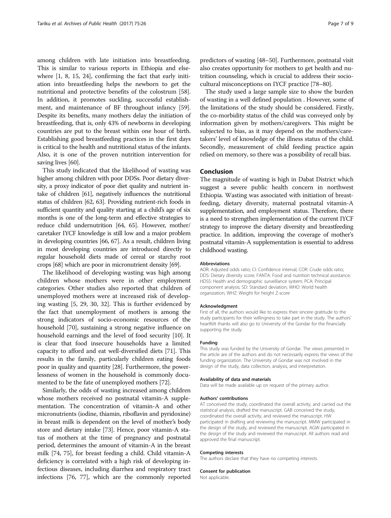among children with late initiation into breastfeeding. This is similar to various reports in Ethiopia and elsewhere [\[1](#page-7-0), [8, 15, 24\]](#page-7-0), confirming the fact that early initiation into breastfeeding helps the newborn to get the nutritional and protective benefits of the colostrum [[58](#page-8-0)]. In addition, it promotes suckling, successful establishment, and maintenance of BF throughout infancy [[59](#page-8-0)]. Despite its benefits, many mothers delay the initiation of breastfeeding, that is, only 43% of newborns in developing countries are put to the breast within one hour of birth. Establishing good breastfeeding practices in the first days is critical to the health and nutritional status of the infants. Also, it is one of the proven nutrition intervention for saving lives [\[60\]](#page-8-0).

This study indicated that the likelihood of wasting was higher among children with poor DDSs. Poor dietary diversity, a proxy indicator of poor diet quality and nutrient intake of children [\[61](#page-8-0)], negatively influences the nutritional status of children [[62](#page-8-0), [63\]](#page-8-0). Providing nutrient-rich foods in sufficient quantity and quality starting at a child's age of six months is one of the long-term and effective strategies to reduce child undernutrition [\[64, 65\]](#page-8-0). However, mother/ caretaker IYCF knowledge is still low and a major problem in developing countries [[66](#page-8-0), [67\]](#page-8-0). As a result, children living in most developing countries are introduced directly to regular household diets made of cereal or starchy root crops [[68](#page-8-0)] which are poor in micronutrient density [\[69](#page-8-0)].

The likelihood of developing wasting was high among children whose mothers were in other employment categories. Other studies also reported that children of unemployed mothers were at increased risk of developing wasting [\[5, 29, 30, 32](#page-7-0)]. This is further evidenced by the fact that unemployment of mothers is among the strong indicators of socio-economic resources of the household [[70](#page-8-0)], sustaining a strong negative influence on household earnings and the level of food security [[10](#page-7-0)]. It is clear that food insecure households have a limited capacity to afford and eat well-diversified diets [\[71\]](#page-8-0). This results in the family, particularly children eating foods poor in quality and quantity [\[28\]](#page-7-0). Furthermore, the powerlessness of women in the household is commonly documented to be the fate of unemployed mothers [[72](#page-8-0)].

Similarly, the odds of wasting increased among children whose mothers received no postnatal vitamin-A supplementation. The concentration of vitamin-A and other micronutrients (iodine, thiamin, riboflavin and pyridoxine) in breast milk is dependent on the level of mother's body store and dietary intake [[73](#page-8-0)]. Hence, poor vitamin-A status of mothers at the time of pregnancy and postnatal period, determines the amount of vitamin-A in the breast milk [\[74, 75](#page-8-0)], for breast feeding a child. Child vitamin-A deficiency is correlated with a high risk of developing infectious diseases, including diarrhea and respiratory tract infections [\[76, 77](#page-8-0)], which are the commonly reported

predictors of wasting [\[48](#page-8-0)–[50\]](#page-8-0). Furthermore, postnatal visit also creates opportunity for mothers to get health and nutrition counseling, which is crucial to address their sociocultural misconceptions on IYCF practice [\[78](#page-8-0)–[80\]](#page-8-0).

The study used a large sample size to show the burden of wasting in a well defined population . However, some of the limitations of the study should be considered. Firstly, the co-morbidity status of the child was conveyed only by information given by mothers/caregivers. This might be subjected to bias, as it may depend on the mothers/caretakers' level of knowledge of the illness status of the child. Secondly, measurement of child feeding practice again relied on memory, so there was a possibility of recall bias.

## Conclusion

The magnitude of wasting is high in Dabat District which suggest a severe public health concern in northwest Ethiopia. Wasting was associated with initiation of breastfeeding, dietary diversity, maternal postnatal vitamin-A supplementation, and employment status. Therefore, there is a need to strengthen implementation of the current IYCF strategy to improve the dietary diversity and breastfeeding practice. In addition, improving the coverage of mother's postnatal vitamin-A supplementation is essential to address childhood wasting.

#### Abbreviations

AOR: Adjusted odds ratio; CI: Confidence interval; COR: Crude odds ratio; DDS: Dietary diversity score; FANTA: Food and nutrition technical assistance; HDSS: Health and demographic surveillance system; PCA: Principal component analysis; SD: Standard deviation; WHO: World health organization; WHZ: Weight for height Z-score

#### Acknowledgment

First of all, the authors would like to express their sincere gratitude to the study participants for their willingness to take part in the study. The authors' heartfelt thanks will also go to University of the Gondar for the financially supporting the study.

#### Funding

This study was funded by the University of Gondar. The views presented in the article are of the authors and do not necessarily express the views of the funding organization. The University of Gondar was not involved in the design of the study, data collection, analysis, and interpretation.

#### Availability of data and materials

Data will be made available up on request of the primary author.

#### Authors' contributions

AT conceived the study, coordinated the overall activity, and carried out the statistical analysis, drafted the manuscript. GAB conceived the study, coordinated the overall activity, and reviewed the manuscript. HW participated in drafting and reviewing the manuscript. MMW participated in the design of the study, and reviewed the manuscript. AGW participated in the design of the study and reviewed the manuscript. All authors read and approved the final manuscript.

#### Competing interests

The authors declare that they have no competing interests.

#### Consent for publication

Not applicable.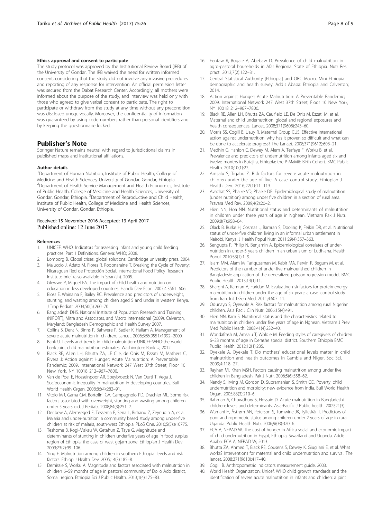#### <span id="page-7-0"></span>Ethics approval and consent to participate

The study protocol was approved by the Institutional Review Board (IRB) of the University of Gondar. The IRB waived the need for written informed consent, considering that the study did not involve any invasive procedures and reporting of any response for intervention. An official permission letter was secured from the Dabat Research Center. Accordingly, all mothers were informed about the purpose of the study, and interview was held only with those who agreed to give verbal consent to participate. The right to participate or withdraw from the study at any time without any precondition was disclosed unequivocally. Moreover, the confidentiality of information was guaranteed by using code numbers rather than personal identifiers and by keeping the questionnaire locked.

## Publisher's Note

Springer Nature remains neutral with regard to jurisdictional claims in published maps and institutional affiliations.

#### Author details

<sup>1</sup>Department of Human Nutrition, Institute of Public Health, College of Medicine and Health Sciences, University of Gondar, Gondar, Ethiopia. 2 Department of Health Service Management and Health Economics, Institute of Public Health, College of Medicine and Health Sciences, University of Gondar, Gondar, Ethiopia. <sup>3</sup>Department of Reproductive and Child Health, Institute of Public Health, College of Medicine and Health Sciences, University of Gondar, Gondar, Ethiopia.

## Received: 15 November 2016 Accepted: 13 April 2017 Published online: 12 June 2017

#### References

- 1. UNICEF. WHO. Indicators for assessing infant and young child feeding practices. Part 1 Definitions. Geneva: WHO; 2008.
- 2. Lomborg B. Global crises, global solutions: Cambridge university press. 2004.
- Maluccio J, Adato M, Flores R, Roopnaraine T. Breaking the Cycle of Poverty: Nicaraguan Red de Protección Social. International Food Policy Research Institute brief (also available in Spanish). 2005.
- 4. Glewwe P, Miguel EA. The impact of child health and nutrition on education in less developed countries. Handb Dev Econ. 2007;4:3561–606.
- 5. Bloss E, Wainaina F, Bailey RC. Prevalence and predictors of underweight, stunting, and wasting among children aged 5 and under in western Kenya. J Trop Pediatr. 2004;50(5):260–70.
- 6. Bangladesh DHS. National Institute of Population Research and Training (NIPORT), Mitra and Associates, and Macro International (2009). Calverton, Maryland: Bangladesh Demographic and Health Survey 2007.
- 7. Collins S, Dent N, Binns P, Bahwere P, Sadler K, Hallam A. Management of severe acute malnutrition in children. Lancet. 2006;368(9551):1992–2000.
- 8. Bank U. Levels and trends in child malnutrition: UNICEF-WHO-the world bank joint child malnutrition estimates. Washington: Bank U; 2012.
- 9. Black RE, Allen LH, Bhutta ZA, LE C e, de Onis M, Ezzati M, Mathers C, Rivera J: Action against Hunger: Acute Malnutrition: A Preventable Pandemic; 2009. International Network 247 West 37th Street, Floor 10 New York, NY 10018 212–967–7800.
- 10. Van de Poel E, Hosseinpoor AR, Speybroeck N, Van Ourti T, Vega J. Socioeconomic inequality in malnutrition in developing countries. Bull World Health Organ. 2008;86(4):282–91.
- 11. Vitolo MR, Gama CM, Bortolini GA, Campagnolo PD, Drachler ML. Some risk factors associated with overweight, stunting and wasting among children under 5 years old. J Pediatr. 2008;84(3):251–7.
- 12. Deribew A, Alemseged F, Tessema F, Sena L, Birhanu Z, Zeynudin A, et al. Malaria and under-nutrition: a community based study among under-five children at risk of malaria, south-west Ethiopia. PLoS One. 2010;5(5):e10775.
- 13. Teshome B, Kogi-Makau W, Getahun Z, Taye G. Magnitude and determinants of stunting in children underfive years of age in food surplus region of Ethiopia: the case of west gojam zone. Ethiopian J Health Dev. 2009;23(2):99–106.
- 14. Ying F. Malnutrition among children in southern Ethiopia: levels and risk factors. Ethiop J Health Dev. 2005;14(3):185–8.
- 15. Demissie S, Worku A. Magnitude and factors associated with malnutrition in children 6–59 months of age in pastoral community of Dollo Ado district, Somali region. Ethiopia Sci J Public Health. 2013;1(4):175–83.
- 16. Fentaw R, Bogale A, Abebaw D. Prevalence of child malnutrition in agro-pastoral households in Afar Regional State of Ethiopia. Nutr Res pract. 2013;7(2):122–31.
- 17. Central Statistical Authority [Ethiopia] and ORC Macro. Mini Ethiopia demographic and health survey. Addis Ababa: Ethiopia and Calverton; 2014.
- 18. Action against Hunger: Acute Malnutrition: A Preventable Pandemic; 2009. International Network 247 West 37th Street, Floor 10 New York, NY 10018 212–967–7800.
- 19. Black RE, Allen LH, Bhutta ZA, Caulfield LE, De Onis M, Ezzati M, et al. Maternal and child undernutrition: global and regional exposures and health consequences. Lancet. 2008;371(9608):243–60.
- 20. Morris SS, Cogill B, Uauy R, Maternal Group CUS. Effective international action against undernutrition: why has it proven so difficult and what can be done to accelerate progress? The Lancet. 2008;371(9612):608–21.
- 21. Medhin G, Hanlon C, Dewey M, Alem A, Tesfaye F, Worku B, et al. Prevalence and predictors of undernutrition among infants aged six and twelve months in Butajira, Ethiopia: the P-MaMiE Birth Cohort. BMC Public Health. 2010;10(1):27.
- 22. Amsalu S, Tigabu Z. Risk factors for severe acute malnutrition in children under the age of five: A case–control study. Ethiopian J Health Dev. 2016;22(1):11–113.
- 23. Avachat SS, Phalke VD, Phalke DB. Epidemiological study of malnutrition (under nutrition) among under five children in a section of rural area. Pravara Med Rev. 2009;4(2):20–2.
- 24. Hien NN, Hoa NN. Nutritional status and determinants of malnutrition in children under three years of age in Nghean. Vietnam Pak J Nutr. 2009;8(7):958–64.
- 25. Olack B, Burke H, Cosmas L, Bamrah S, Dooling K, Feikin DR, et al. Nutritional status of under-five children living in an informal urban settlement in Nairobi, Kenya. J Health Popul Nutr. 2011;29(4):357–363.
- 26. Sengupta P, Philip N, Benjamin A. Epidemiological correlates of undernutrition in under-5 years children in an urban slum of Ludhiana. Health Popul. 2010;33(1):1–9.
- 27. Islam MM, Alam M, Tariquzaman M, Kabir MA, Pervin R, Begum M, et al. Predictors of the number of under-five malnourished children in Bangladesh: application of the generalized poisson regression model. BMC Public Health. 2013;13(1):11.
- 28. Sharghi A, Kamran A, Faridan M. Evaluating risk factors for protein-energy malnutrition in children under the age of six years: a case–control study from Iran. Int J Gen Med. 2011;4:607–11.
- 29. Odunayo S, Oyewole A. Risk factors for malnutrition among rural Nigerian children. Asia Pac J Clin Nutr. 2006;15(4):491.
- 30. Hien NN, Kam S. Nutritional status and the characteristics related to malnutrition in children under five years of age in Nghean. Vietnam J Prev Med Public Health. 2008;41(4):232–40.
- 31. Wondafrash M, Amsalu T, Woldie M. Feeding styles of caregivers of children 6–23 months of age in Derashe special district. Southern Ethiopia BMC Public Health. 2012;12(1):235.
- 32. Oyekale A, Oyekale T. Do mothers' educational levels matter in child malnutrition and health outcomes in Gambia and Niger. Soc Sci. 2009;4:118–27.
- 33. Rayhan MI, Khan MSH. Factors causing malnutrition among under five children in Bangladesh. Pak J Nutr. 2006;5(6):558–62.
- 34. Nandy S, Irving M, Gordon D, Subramanian S, Smith GD. Poverty, child undernutrition and morbidity: new evidence from India. Bull World Health Organ. 2005;83(3):210–6.
- 35. Rahman A, Chowdhury S, Hossain D. Acute malnutrition in Bangladeshi children: levels and determinants. Asia-Pacific J Public health. 2009;21(3).
- 36. Wamani H, Åstrøm AN, Peterson S, Tumwine JK, Tylleskär T. Predictors of poor anthropometric status among children under 2 years of age in rural Uganda. Public Health Nutr. 2006;9(03):320–6.
- 37. ECA A, NEPAD W. The cost of hunger in Africa social and economic impact of child undernutrition in Egypt, Ethiopia, Swaziland and Uganda. Addis Ababa: ECA A, NEPAD W; 2013.
- 38. Bhutta ZA, Ahmed T, Black RE, Cousens S, Dewey K, Giugliani E, et al. What works? Interventions for maternal and child undernutrition and survival. The lancet. 2008;371(9610):417–40.
- 39. Cogill B. Anthropometric indicators measurement guide. 2003.
- 40. World Health Organization: Unicef. WHO child growth standards and the identification of severe acute malnutrition in infants and children: a joint